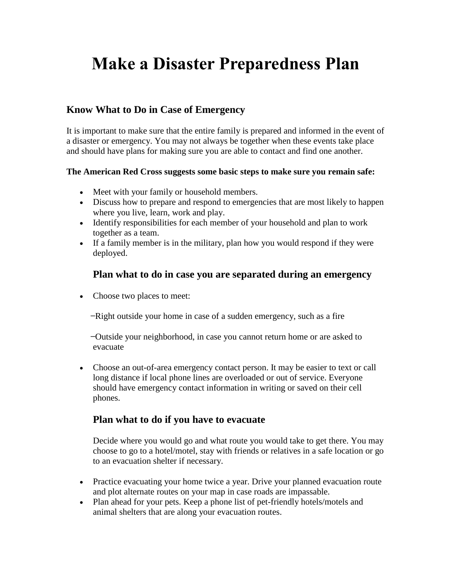# **Make a Disaster Preparedness Plan**

### **Know What to Do in Case of Emergency**

It is important to make sure that the entire family is prepared and informed in the event of a disaster or emergency. You may not always be together when these events take place and should have plans for making sure you are able to contact and find one another.

#### **The American Red Cross suggests some basic steps to make sure you remain safe:**

- Meet with your family or household members.
- Discuss how to prepare and respond to emergencies that are most likely to happen where you live, learn, work and play.
- Identify responsibilities for each member of your household and plan to work together as a team.
- If a family member is in the military, plan how you would respond if they were deployed.

#### **Plan what to do in case you are separated during an emergency**

• Choose two places to meet:

-Right outside your home in case of a sudden emergency, such as a fire

̶ Outside your neighborhood, in case you cannot return home or are asked to evacuate

 Choose an out-of-area emergency contact person. It may be easier to text or call long distance if local phone lines are overloaded or out of service. Everyone should have emergency contact information in writing or saved on their cell phones.

#### **Plan what to do if you have to evacuate**

Decide where you would go and what route you would take to get there. You may choose to go to a hotel/motel, stay with friends or relatives in a safe location or go to an evacuation shelter if necessary.

- Practice evacuating your home twice a year. Drive your planned evacuation route and plot alternate routes on your map in case roads are impassable.
- Plan ahead for your pets. Keep a phone list of pet-friendly hotels/motels and animal shelters that are along your evacuation routes.